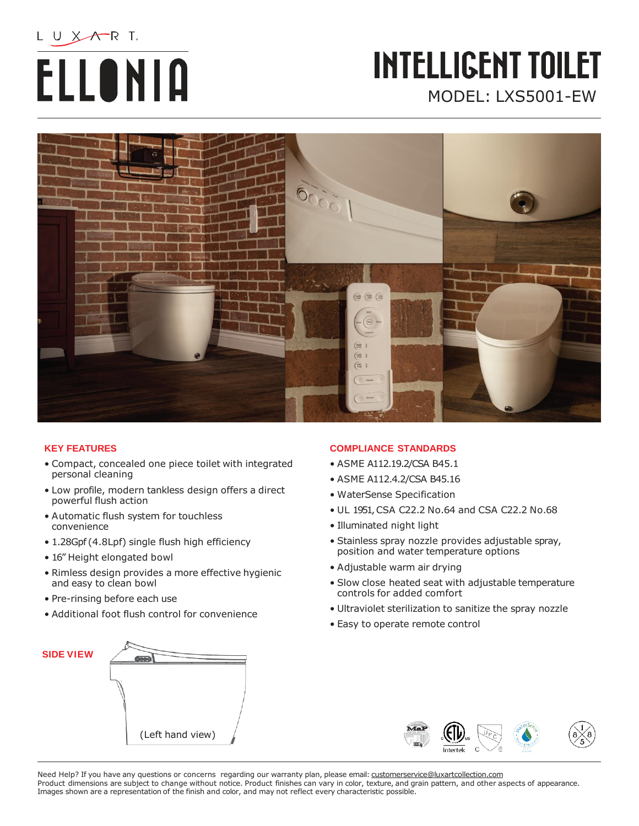# L U XATR T. **ELLONIA**

### **INTELLIGENT TOILET** MODEL: LXS5001-EW



#### **KEY FEATURES**

- Compact, concealed one piece toilet with integrated personal cleaning
- Low profile, modern tankless design offers a direct powerful flush action
- Automatic flush system for touchless convenience
- 1.28Gpf (4.8Lpf) single flush high efficiency
- 16" Height elongated bowl
- Rimless design provides a more effective hygienic and easy to clean bowl
- Pre-rinsing before each use
- Additional foot flush control for convenience

#### **COMPLIANCE STANDARDS**

- ASME A112.19.2/CSA B45.1
- ASME A112.4.2/CSA B45.16
- WaterSense Specification
- UL 1951,CSA C22.2 No.64 and CSA C22.2 No.68
- Illuminated night light
- Stainless spray nozzle provides adjustable spray, position and water temperature options
- Adjustable warm air drying
- Slow close heated seat with adjustable temperature controls for added comfort
- Ultraviolet sterilization to sanitize the spray nozzle
- Easy to operate remote control





Need Help? If you have any questions or concerns regarding our warranty plan, please email: [customerservice@luxartcollection.com](mailto:customerservice@luxartcollection.com) Product dimensions are subject to change without notice. Product finishes can vary in color, texture, and grain pattern, and other aspects of appearance. Images shown are a representation of the finish and color, and may not reflect every characteristic possible.